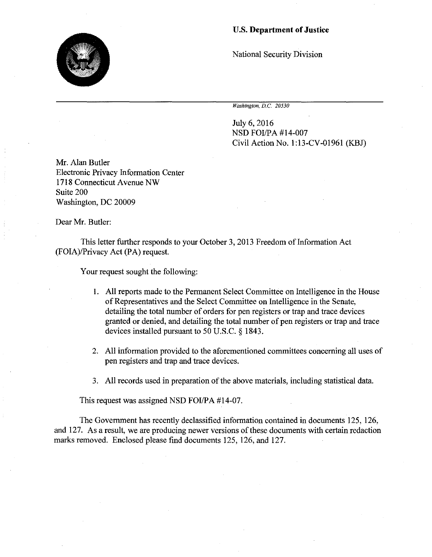## U.S. **Department of Justice**

National Security Division

*Washington, D.C. 20530* 

July 6, 2016 NSD FOI/PA #14-007 Civil Action No. 1:13-CV-01961 (KBJ)

Mr. Alan Butler Electronic Privacy Information Center 1718 Connecticut Avenue NW Suite 200 Washington, DC 20009

Dear Mr. Butler:

This letter further responds to your October 3, 2013 Freedom of Information Act (FOIA)/Privacy Act (PA) request.

Your request sought the following:

- I. All reports made to the Permanent Select Committee on Intelligence in the House of Representatives and the Select Committee on Intelligence in the Senate, detailing the total number of orders for pen registers or trap and trace devices granted or denied, and detailing the total number of pen registers or trap and trace devices installed pursuant to 50 U.S.C. § 1843.
- 2. All information provided to the aforementioned committees concerning all uses of pen registers and trap and trace devices.
- 3. All records used in preparation of the above materials, including statistical data.

This request was assigned NSD FOI/PA #14-07.

The Government has recently declassified information contained in documents 125, 126, and 127. As a result, we are producing newer versions of these documents with certain redaction marks removed. Enclosed please find documents 125, 126, and 127.